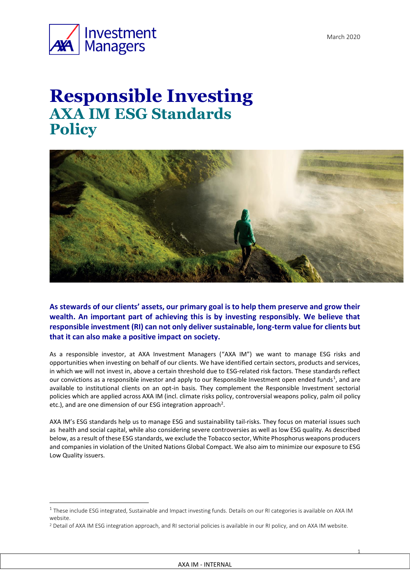1



1

# **Responsible Investing AXA IM ESG Standards Policy**



**As stewards of our clients' assets, our primary goal is to help them preserve and grow their wealth. An important part of achieving this is by investing responsibly. We believe that responsible investment (RI) can not only deliver sustainable, long-term value for clients but that it can also make a positive impact on society.** 

As a responsible investor, at AXA Investment Managers ("AXA IM") we want to manage ESG risks and opportunities when investing on behalf of our clients. We have identified certain sectors, products and services, in which we will not invest in, above a certain threshold due to ESG-related risk factors. These standards reflect our convictions as a responsible investor and apply to our Responsible Investment open ended funds<sup>1</sup>, and are available to institutional clients on an opt-in basis. They complement the Responsible Investment sectorial policies which are applied across AXA IM (incl. climate risks policy, controversial weapons policy, palm oil policy etc.), and are one dimension of our ESG integration approach<sup>2</sup>.

AXA IM's ESG standards help us to manage ESG and sustainability tail-risks. They focus on material issues such as health and social capital, while also considering severe controversies as well as low ESG quality. As described below, as a result of these ESG standards, we exclude the Tobacco sector, White Phosphorus weapons producers and companies in violation of the United Nations Global Compact. We also aim to minimize our exposure to ESG Low Quality issuers.

 $1$  These include ESG integrated, Sustainable and Impact investing funds. Details on our RI categories is available on AXA IM website.

<sup>&</sup>lt;sup>2</sup> Detail of AXA IM ESG integration approach, and RI sectorial policies is available in our RI policy, and on AXA IM website.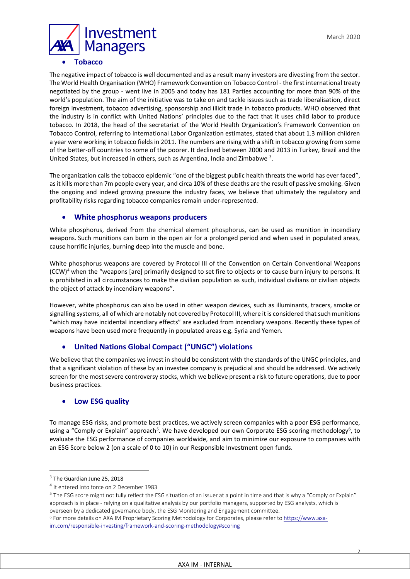

#### • **Tobacco**

The negative impact of tobacco is well documented and as a result many investors are divesting from the sector. The World Health Organisation (WHO) Framework Convention on Tobacco Control - the first international treaty negotiated by the group - went live in 2005 and today has 181 Parties accounting for more than 90% of the world's population. The aim of the initiative was to take on and tackle issues such as trade liberalisation, direct foreign investment, tobacco advertising, sponsorship and illicit trade in tobacco products. WHO observed that the industry is in conflict with United Nations' principles due to the fact that it uses child labor to produce tobacco. In 2018, the head of the secretariat of the World Health Organization's Framework Convention on Tobacco Control, referring to International Labor Organization estimates, stated that about 1.3 million children a year were working in tobacco fields in 2011. The numbers are rising with a shift in tobacco growing from some of the better-off countries to some of the poorer. It declined between 2000 and 2013 in Turkey, Brazil and the United States, but increased in others, such as Argentina, India and Zimbabwe<sup>3</sup>.

The organization calls the tobacco epidemic "one of the biggest public health threats the world has ever faced", as it kills more than 7m people every year, and circa 10% of these deaths are the result of passive smoking. Given the ongoing and indeed growing pressure the industry faces, we believe that ultimately the regulatory and profitability risks regarding tobacco companies remain under-represented.

## • **White phosphorus weapons producers**

White phosphorus, derived from the chemical element phosphorus, can be used as munition in incendiary weapons. Such munitions can burn in the open air for a prolonged period and when used in populated areas, cause horrific injuries, burning deep into the muscle and bone.

White phosphorus weapons are covered by Protocol III of the Convention on Certain Conventional Weapons (CCW)<sup>4</sup> when the "weapons [are] primarily designed to set fire to objects or to cause burn injury to persons. It is prohibited in all circumstances to make the civilian population as such, individual civilians or civilian objects the object of attack by incendiary weapons".

However, white phosphorus can also be used in other weapon devices, such as illuminants, tracers, smoke or signalling systems, all of which are notably not covered by Protocol III, where it is considered that such munitions "which may have incidental incendiary effects" are excluded from incendiary weapons. Recently these types of weapons have been used more frequently in populated areas e.g. Syria and Yemen.

## • **United Nations Global Compact ("UNGC") violations**

We believe that the companies we invest in should be consistent with the standards of the UNGC principles, and that a significant violation of these by an investee company is prejudicial and should be addressed. We actively screen for the most severe controversy stocks, which we believe present a risk to future operations, due to poor business practices.

## • **Low ESG quality**

To manage ESG risks, and promote best practices, we actively screen companies with a poor ESG performance, using a "Comply or Explain" approach<sup>5</sup>. We have developed our own Corporate ESG scoring methodology<sup>6</sup>, to evaluate the ESG performance of companies worldwide, and aim to minimize our exposure to companies with an ESG Score below 2 (on a scale of 0 to 10) in our Responsible Investment open funds.

1

<sup>5</sup> The ESG score might not fully reflect the ESG situation of an issuer at a point in time and that is why a "Comply or Explain" approach is in place - relying on a qualitative analysis by our portfolio managers, supported by ESG analysts, which is overseen by a dedicated governance body, the ESG Monitoring and Engagement committee.

 $3$  The Guardian June 25, 2018

<sup>4</sup> It entered into force on 2 December 1983

<sup>6</sup> For more details on AXA IM Proprietary Scoring Methodology for Corporates, please refer t[o https://www.axa](https://www.axa-im.com/responsible-investing/framework-and-scoring-methodology#scoring)[im.com/responsible-investing/framework-and-scoring-methodology#scoring](https://www.axa-im.com/responsible-investing/framework-and-scoring-methodology#scoring)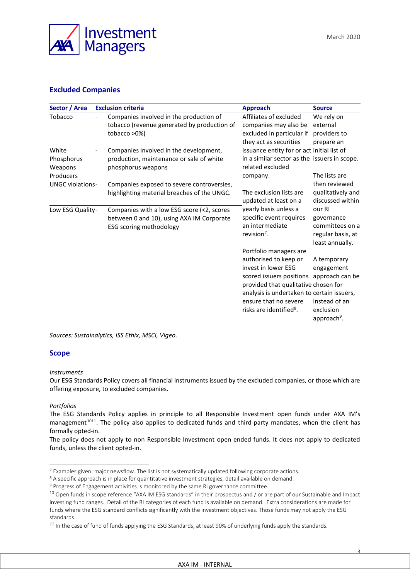

3

# **Excluded Companies**

| Sector / Area                               |  | <b>Exclusion criteria</b>                                                                                                 | <b>Approach</b>                                                                                                                                                                                                                                                          | <b>Source</b>                                                                      |
|---------------------------------------------|--|---------------------------------------------------------------------------------------------------------------------------|--------------------------------------------------------------------------------------------------------------------------------------------------------------------------------------------------------------------------------------------------------------------------|------------------------------------------------------------------------------------|
| Tobacco                                     |  | Companies involved in the production of<br>tobacco (revenue generated by production of<br>tobacco >0%)                    | Affiliates of excluded<br>companies may also be<br>excluded in particular if<br>they act as securities<br>issuance entity for or act initial list of<br>in a similar sector as the issuers in scope.<br>related excluded<br>company.                                     | We rely on<br>external<br>providers to<br>prepare an<br>The lists are              |
| White<br>Phosphorus<br>Weapons<br>Producers |  | Companies involved in the development,<br>production, maintenance or sale of white<br>phosphorus weapons                  |                                                                                                                                                                                                                                                                          |                                                                                    |
| <b>UNGC violations-</b>                     |  | Companies exposed to severe controversies,<br>highlighting material breaches of the UNGC.                                 | The exclusion lists are<br>updated at least on a<br>yearly basis unless a<br>specific event requires<br>an intermediate<br>revision $7$ .                                                                                                                                | then reviewed<br>qualitatively and<br>discussed within                             |
| Low ESG Quality-                            |  | Companies with a low ESG score (<2, scores<br>between 0 and 10), using AXA IM Corporate<br><b>ESG scoring methodology</b> |                                                                                                                                                                                                                                                                          | our RI<br>governance<br>committees on a<br>regular basis, at<br>least annually.    |
|                                             |  |                                                                                                                           | Portfolio managers are<br>authorised to keep or<br>invest in lower ESG<br>scored issuers positions approach can be<br>provided that qualitative chosen for<br>analysis is undertaken to certain issuers,<br>ensure that no severe<br>risks are identified <sup>8</sup> . | A temporary<br>engagement<br>instead of an<br>exclusion<br>approach <sup>9</sup> . |

*Sources: Sustainalytics, ISS Ethix, MSCI, Vigeo.*

#### **Scope**

#### *Instruments*

Our ESG Standards Policy covers all financial instruments issued by the excluded companies, or those which are offering exposure, to excluded companies.

#### *Portfolios*

1

The ESG Standards Policy applies in principle to all Responsible Investment open funds under AXA IM's management<sup>1011</sup>. The policy also applies to dedicated funds and third-party mandates, when the client has formally opted-in.

The policy does not apply to non Responsible Investment open ended funds. It does not apply to dedicated funds, unless the client opted-in.

<sup>7</sup> Examples given: major newsflow. The list is not systematically updated following corporate actions.

<sup>8</sup> A specific approach is in place for quantitative investment strategies, detail available on demand.

<sup>9</sup> Progress of Engagement activities is monitored by the same RI governance committee.

 $10$  Open funds in scope reference "AXA IM ESG standards" in their prospectus and / or are part of our Sustainable and Impact investing fund ranges. Detail of the RI categories of each fund is available on demand. Extra considerations are made for funds where the ESG standard conflicts significantly with the investment objectives. Those funds may not apply the ESG standards.

*<sup>11</sup>* In the case of fund of funds applying the ESG Standards, at least 90% of underlying funds apply the standards.